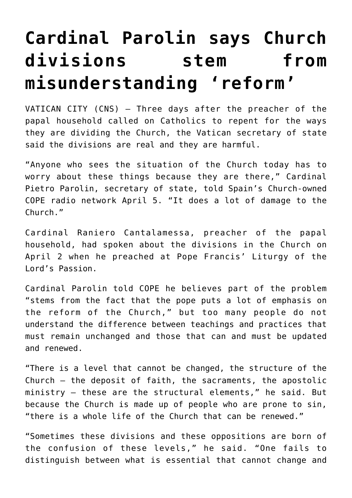## **[Cardinal Parolin says Church](https://www.osvnews.com/2021/04/06/cardinal-parolin-says-church-divisions-stem-from-misunderstanding-reform/) [divisions stem from](https://www.osvnews.com/2021/04/06/cardinal-parolin-says-church-divisions-stem-from-misunderstanding-reform/) [misunderstanding 'reform'](https://www.osvnews.com/2021/04/06/cardinal-parolin-says-church-divisions-stem-from-misunderstanding-reform/)**

VATICAN CITY (CNS) — Three days after the preacher of the papal household called on Catholics to repent for the ways they are dividing the Church, the Vatican secretary of state said the divisions are real and they are harmful.

"Anyone who sees the situation of the Church today has to worry about these things because they are there," Cardinal Pietro Parolin, secretary of state, told Spain's Church-owned COPE radio network April 5. "It does a lot of damage to the Church."

Cardinal Raniero Cantalamessa, preacher of the papal household, had spoken about the divisions in the Church on April 2 when he preached at Pope Francis' Liturgy of the Lord's Passion.

Cardinal Parolin told COPE he believes part of the problem "stems from the fact that the pope puts a lot of emphasis on the reform of the Church," but too many people do not understand the difference between teachings and practices that must remain unchanged and those that can and must be updated and renewed.

"There is a level that cannot be changed, the structure of the Church — the deposit of faith, the sacraments, the apostolic ministry — these are the structural elements," he said. But because the Church is made up of people who are prone to sin, "there is a whole life of the Church that can be renewed."

"Sometimes these divisions and these oppositions are born of the confusion of these levels," he said. "One fails to distinguish between what is essential that cannot change and